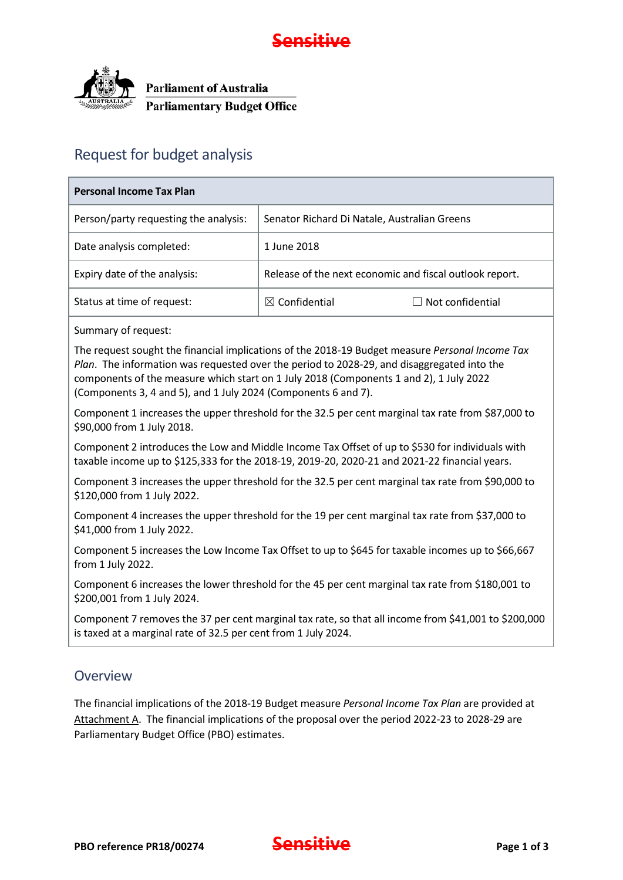



## Request for budget analysis

| <b>Personal Income Tax Plan</b>       |                                                         |                         |  |  |  |  |  |  |
|---------------------------------------|---------------------------------------------------------|-------------------------|--|--|--|--|--|--|
| Person/party requesting the analysis: | Senator Richard Di Natale, Australian Greens            |                         |  |  |  |  |  |  |
| Date analysis completed:              | 1 June 2018                                             |                         |  |  |  |  |  |  |
| Expiry date of the analysis:          | Release of the next economic and fiscal outlook report. |                         |  |  |  |  |  |  |
| Status at time of request:            | $\boxtimes$ Confidential                                | $\Box$ Not confidential |  |  |  |  |  |  |
| Summary of request:                   |                                                         |                         |  |  |  |  |  |  |

The request sought the financial implications of the 2018-19 Budget measure *Personal Income Tax Plan*. The information was requested over the period to 2028-29, and disaggregated into the components of the measure which start on 1 July 2018 (Components 1 and 2), 1 July 2022 (Components 3, 4 and 5), and 1 July 2024 (Components 6 and 7).

Component 1 increases the upper threshold for the 32.5 per cent marginal tax rate from \$87,000 to \$90,000 from 1 July 2018.

Component 2 introduces the Low and Middle Income Tax Offset of up to \$530 for individuals with taxable income up to \$125,333 for the 2018-19, 2019-20, 2020-21 and 2021-22 financial years.

Component 3 increases the upper threshold for the 32.5 per cent marginal tax rate from \$90,000 to \$120,000 from 1 July 2022.

Component 4 increases the upper threshold for the 19 per cent marginal tax rate from \$37,000 to \$41,000 from 1 July 2022.

Component 5 increases the Low Income Tax Offset to up to \$645 for taxable incomes up to \$66,667 from 1 July 2022.

Component 6 increases the lower threshold for the 45 per cent marginal tax rate from \$180,001 to \$200,001 from 1 July 2024.

Component 7 removes the 37 per cent marginal tax rate, so that all income from \$41,001 to \$200,000 is taxed at a marginal rate of 32.5 per cent from 1 July 2024.

### **Overview**

The financial implications of the 2018-19 Budget measure *Personal Income Tax Plan* are provided at Attachment A. The financial implications of the proposal over the period 2022-23 to 2028-29 are Parliamentary Budget Office (PBO) estimates.

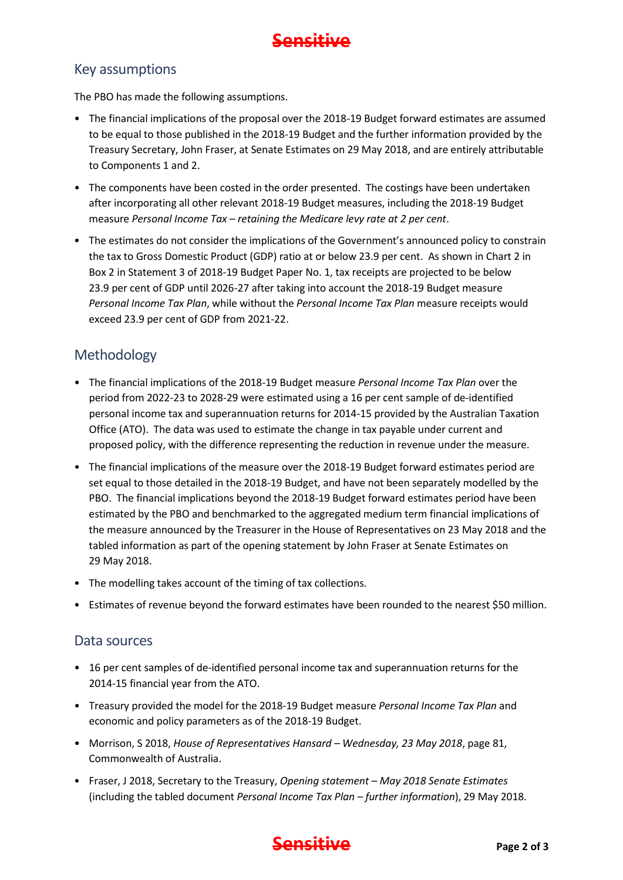

### Key assumptions

The PBO has made the following assumptions.

- The financial implications of the proposal over the 2018-19 Budget forward estimates are assumed to be equal to those published in the 2018-19 Budget and the further information provided by the Treasury Secretary, John Fraser, at Senate Estimates on 29 May 2018, and are entirely attributable to Components 1 and 2.
- The components have been costed in the order presented. The costings have been undertaken after incorporating all other relevant 2018-19 Budget measures, including the 2018-19 Budget measure *Personal Income Tax – retaining the Medicare levy rate at 2 per cent*.
- The estimates do not consider the implications of the Government's announced policy to constrain the tax to Gross Domestic Product (GDP) ratio at or below 23.9 per cent. As shown in Chart 2 in Box 2 in Statement 3 of 2018-19 Budget Paper No. 1, tax receipts are projected to be below 23.9 per cent of GDP until 2026-27 after taking into account the 2018-19 Budget measure *Personal Income Tax Plan*, while without the *Personal Income Tax Plan* measure receipts would exceed 23.9 per cent of GDP from 2021-22.

### Methodology

- The financial implications of the 2018-19 Budget measure *Personal Income Tax Plan* over the period from 2022-23 to 2028-29 were estimated using a 16 per cent sample of de-identified personal income tax and superannuation returns for 2014-15 provided by the Australian Taxation Office (ATO). The data was used to estimate the change in tax payable under current and proposed policy, with the difference representing the reduction in revenue under the measure.
- The financial implications of the measure over the 2018-19 Budget forward estimates period are set equal to those detailed in the 2018-19 Budget, and have not been separately modelled by the PBO. The financial implications beyond the 2018-19 Budget forward estimates period have been estimated by the PBO and benchmarked to the aggregated medium term financial implications of the measure announced by the Treasurer in the House of Representatives on 23 May 2018 and the tabled information as part of the opening statement by John Fraser at Senate Estimates on 29 May 2018.
- The modelling takes account of the timing of tax collections.
- Estimates of revenue beyond the forward estimates have been rounded to the nearest \$50 million.

#### Data sources

- 16 per cent samples of de-identified personal income tax and superannuation returns for the 2014-15 financial year from the ATO.
- Treasury provided the model for the 2018-19 Budget measure *Personal Income Tax Plan* and economic and policy parameters as of the 2018-19 Budget.
- Morrison, S 2018, *House of Representatives Hansard – Wednesday, 23 May 2018*, page 81, Commonwealth of Australia.
- Fraser, J 2018, Secretary to the Treasury, *Opening statement – May 2018 Senate Estimates* (including the tabled document *Personal Income Tax Plan – further information*), 29 May 2018.